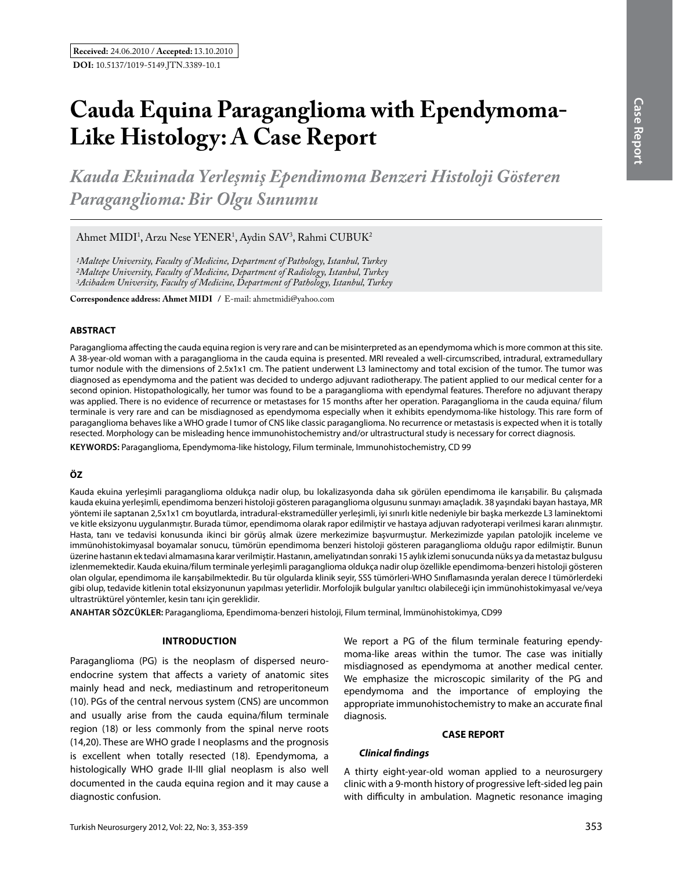# **Cauda Equina Paraganglioma with Ependymoma-Like Histology: A Case Report**

*Kauda Ekuinada Yerleşmiş Ependimoma Benzeri Histoloji Gösteren Paraganglioma: Bir Olgu Sunumu*

Ahmet MIDI<sup>1</sup>, Arzu Nese YENER<sup>1</sup>, Aydin SAV<sup>3</sup>, Rahmi CUBUK<sup>2</sup>

*1Maltepe University, Faculty of Medicine, Department of Pathology, Istanbul, Turkey 2Maltepe University, Faculty of Medicine, Department of Radiology, Istanbul, Turkey 3Acibadem University, Faculty of Medicine, Department of Pathology, Istanbul, Turkey*

**Correspondence address: Ahmet MIDI** / E-mail: ahmetmidi@yahoo.com

#### **ABSTRACT**

Paraganglioma affecting the cauda equina region is very rare and can be misinterpreted as an ependymoma which is more common at this site. A 38-year-old woman with a paraganglioma in the cauda equina is presented. MRI revealed a well-circumscribed, intradural, extramedullary tumor nodule with the dimensions of 2.5x1x1 cm. The patient underwent L3 laminectomy and total excision of the tumor. The tumor was diagnosed as ependymoma and the patient was decided to undergo adjuvant radiotherapy. The patient applied to our medical center for a second opinion. Histopathologically, her tumor was found to be a paraganglioma with ependymal features. Therefore no adjuvant therapy was applied. There is no evidence of recurrence or metastases for 15 months after her operation. Paraganglioma in the cauda equina/ filum terminale is very rare and can be misdiagnosed as ependymoma especially when it exhibits ependymoma-like histology. This rare form of paraganglioma behaves like a WHO grade I tumor of CNS like classic paraganglioma. No recurrence or metastasis is expected when it is totally resected. Morphology can be misleading hence immunohistochemistry and/or ultrastructural study is necessary for correct diagnosis.

**Keywords:** Paraganglioma, Ependymoma-like histology, Filum terminale, Immunohistochemistry, CD 99

## **ÖZ**

Kauda ekuina yerleşimli paraganglioma oldukça nadir olup, bu lokalizasyonda daha sık görülen ependimoma ile karışabilir. Bu çalışmada kauda ekuina yerleşimli, ependimoma benzeri histoloji gösteren paraganglioma olgusunu sunmayı amaçladık. 38 yaşındaki bayan hastaya, MR yöntemi ile saptanan 2,5x1x1 cm boyutlarda, intradural-ekstramedüller yerleşimli, iyi sınırlı kitle nedeniyle bir başka merkezde L3 laminektomi ve kitle eksizyonu uygulanmıştır. Burada tümor, ependimoma olarak rapor edilmiştir ve hastaya adjuvan radyoterapi verilmesi kararı alınmıştır. Hasta, tanı ve tedavisi konusunda ikinci bir görüş almak üzere merkezimize başvurmuştur. Merkezimizde yapılan patolojik inceleme ve immünohistokimyasal boyamalar sonucu, tümörün ependimoma benzeri histoloji gösteren paraganglioma olduğu rapor edilmiştir. Bunun üzerine hastanın ek tedavi almamasına karar verilmiştir. Hastanın, ameliyatından sonraki 15 aylık izlemi sonucunda nüks ya da metastaz bulgusu izlenmemektedir. Kauda ekuina/filum terminale yerleşimli paraganglioma oldukça nadir olup özellikle ependimoma-benzeri histoloji gösteren olan olgular, ependimoma ile karışabilmektedir. Bu tür olgularda klinik seyir, SSS tümörleri-WHO Sınıflamasında yeralan derece I tümörlerdeki gibi olup, tedavide kitlenin total eksizyonunun yapılması yeterlidir. Morfolojik bulgular yanıltıcı olabileceği için immünohistokimyasal ve/veya ultrastrüktürel yöntemler, kesin tanı için gereklidir.

**ANAHTAR SÖZCÜKLER:** Paraganglioma, Ependimoma-benzeri histoloji, Filum terminal, İmmünohistokimya, CD99

### **Introduction**

Paraganglioma (PG) is the neoplasm of dispersed neuroendocrine system that affects a variety of anatomic sites mainly head and neck, mediastinum and retroperitoneum (10). PGs of the central nervous system (CNS) are uncommon and usually arise from the cauda equina/filum terminale region (18) or less commonly from the spinal nerve roots (14,20). These are WHO grade I neoplasms and the prognosis is excellent when totally resected (18). Ependymoma, a histologically WHO grade II-III glial neoplasm is also well documented in the cauda equina region and it may cause a diagnostic confusion.

We report a PG of the filum terminale featuring ependymoma-like areas within the tumor. The case was initially misdiagnosed as ependymoma at another medical center. We emphasize the microscopic similarity of the PG and ependymoma and the importance of employing the appropriate immunohistochemistry to make an accurate final diagnosis.

## **CASE REPORT**

#### *Clinical findings*

A thirty eight-year-old woman applied to a neurosurgery clinic with a 9-month history of progressive left-sided leg pain with difficulty in ambulation. Magnetic resonance imaging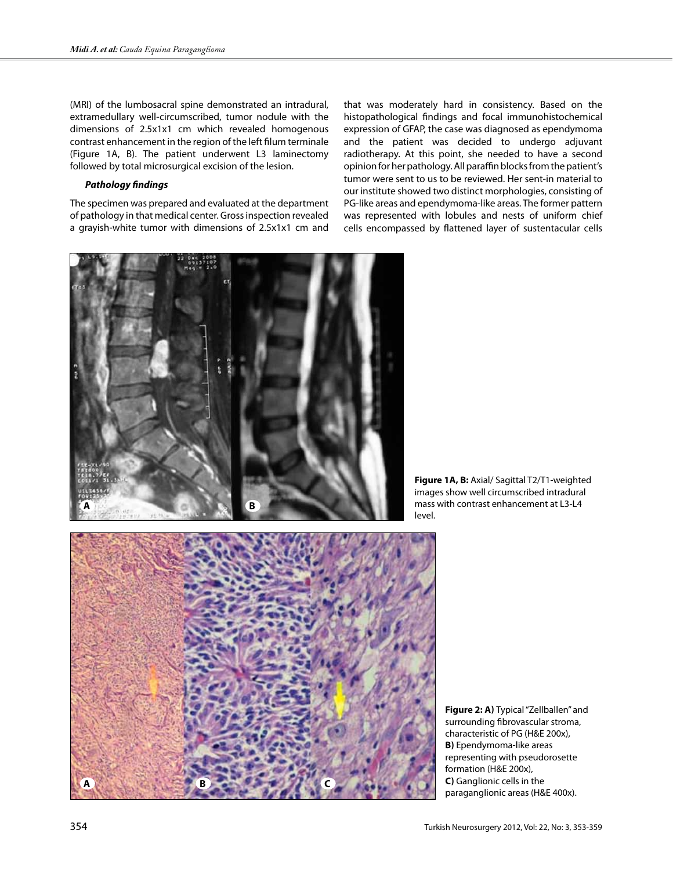(MRI) of the lumbosacral spine demonstrated an intradural, extramedullary well-circumscribed, tumor nodule with the dimensions of 2.5x1x1 cm which revealed homogenous contrast enhancement in the region of the left filum terminale (Figure 1A, B). The patient underwent L3 laminectomy followed by total microsurgical excision of the lesion.

#### *Pathology findings*

The specimen was prepared and evaluated at the department of pathology in that medical center. Gross inspection revealed a grayish-white tumor with dimensions of 2.5x1x1 cm and that was moderately hard in consistency. Based on the histopathological findings and focal immunohistochemical expression of GFAP, the case was diagnosed as ependymoma and the patient was decided to undergo adjuvant radiotherapy. At this point, she needed to have a second opinion for her pathology. All paraffin blocks from the patient's tumor were sent to us to be reviewed. Her sent-in material to our institute showed two distinct morphologies, consisting of PG-like areas and ependymoma-like areas. The former pattern was represented with lobules and nests of uniform chief cells encompassed by flattened layer of sustentacular cells



**Figure 1A, B:** Axial/ Sagittal T2/T1-weighted images show well circumscribed intradural mass with contrast enhancement at L3-L4 level.



**Figure 2: a)** Typical "Zellballen" and surrounding fibrovascular stroma, characteristic of PG (H&E 200x), **B)** Ependymoma-like areas representing with pseudorosette formation (H&E 200x), **C)** Ganglionic cells in the paraganglionic areas (H&E 400x).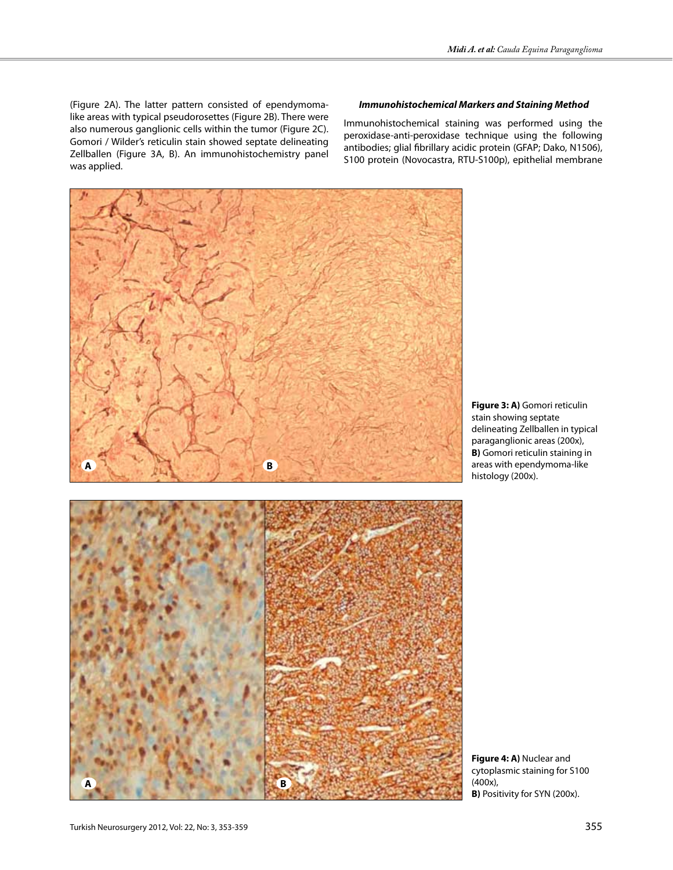(Figure 2A). The latter pattern consisted of ependymomalike areas with typical pseudorosettes (Figure 2B). There were also numerous ganglionic cells within the tumor (Figure 2C). Gomori / Wilder's reticulin stain showed septate delineating Zellballen (Figure 3A, B). An immunohistochemistry panel was applied.

## *Immunohistochemical Markers and Staining Method*

Immunohistochemical staining was performed using the peroxidase-anti-peroxidase technique using the following antibodies; glial fibrillary acidic protein (GFAP; Dako, N1506), S100 protein (Novocastra, RTU-S100p), epithelial membrane



**Figure 3: A)** Gomori reticulin stain showing septate delineating Zellballen in typical paraganglionic areas (200x), **B)** Gomori reticulin staining in areas with ependymoma-like histology (200x).



**Figure 4: A)** Nuclear and cytoplasmic staining for S100 (400x), **B)** Positivity for SYN (200x).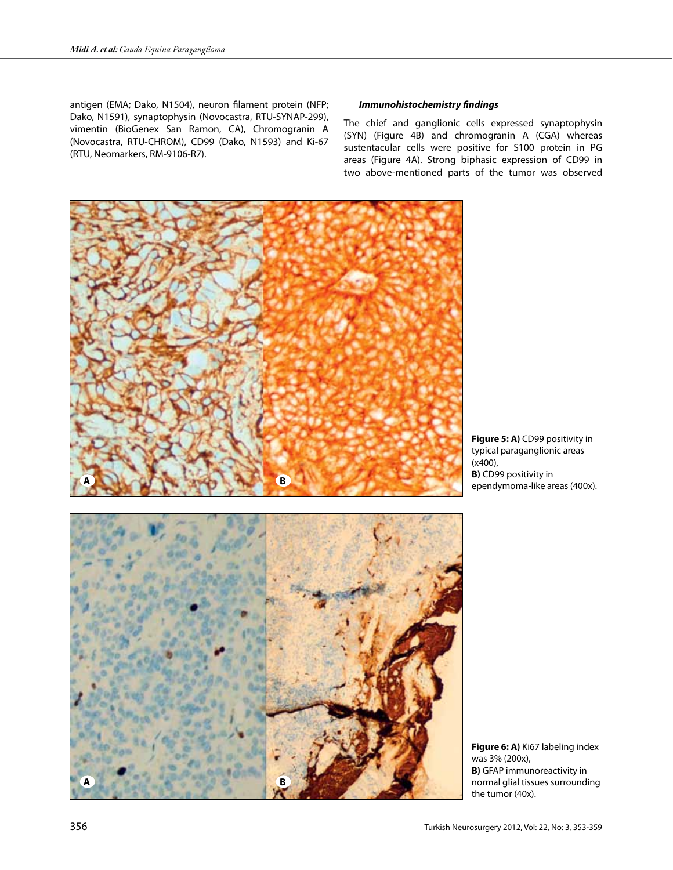antigen (EMA; Dako, N1504), neuron filament protein (NFP; Dako, N1591), synaptophysin (Novocastra, RTU-SYNAP-299), vimentin (BioGenex San Ramon, CA), Chromogranin A (Novocastra, RTU-CHROM), CD99 (Dako, N1593) and Ki-67 (RTU, Neomarkers, RM-9106-R7).

## *Immunohistochemistry findings*

The chief and ganglionic cells expressed synaptophysin (SYN) (Figure 4B) and chromogranin A (CGA) whereas sustentacular cells were positive for S100 protein in PG areas (Figure 4A). Strong biphasic expression of CD99 in two above-mentioned parts of the tumor was observed



**Figure 5: A)** CD99 positivity in typical paraganglionic areas (x400), **B)** CD99 positivity in ependymoma-like areas (400x).



**Figure 6: A)** Ki67 labeling index was 3% (200x), **B)** GFAP immunoreactivity in normal glial tissues surrounding the tumor (40x).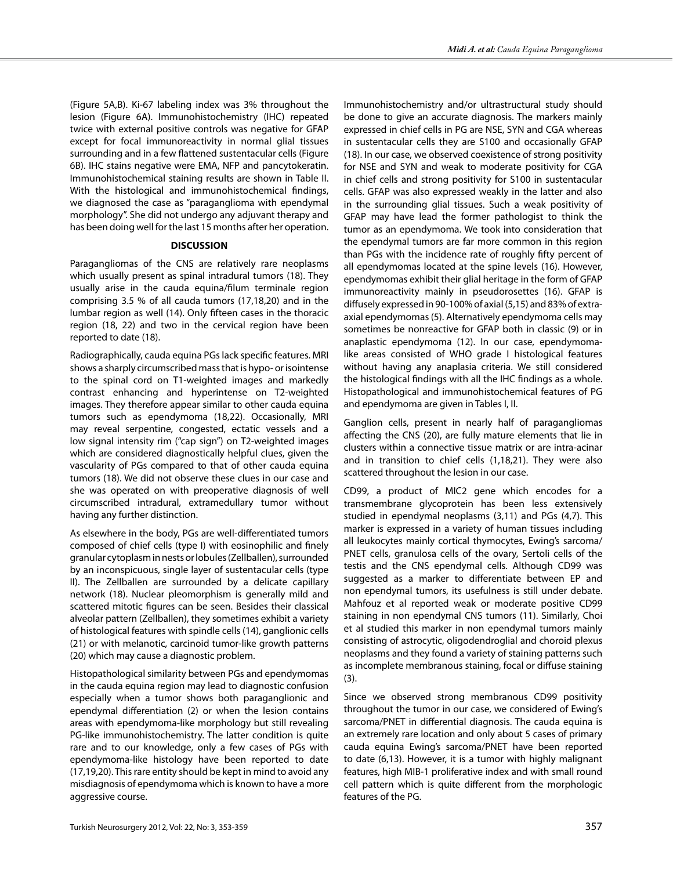(Figure 5A,B). Ki-67 labeling index was 3% throughout the lesion (Figure 6A). Immunohistochemistry (IHC) repeated twice with external positive controls was negative for GFAP except for focal immunoreactivity in normal glial tissues surrounding and in a few flattened sustentacular cells (Figure 6B). IHC stains negative were EMA, NFP and pancytokeratin. Immunohistochemical staining results are shown in Table II. With the histological and immunohistochemical findings, we diagnosed the case as "paraganglioma with ependymal morphology". She did not undergo any adjuvant therapy and has been doing well for the last 15 months after her operation.

#### **DISCUSSION**

Paragangliomas of the CNS are relatively rare neoplasms which usually present as spinal intradural tumors (18). They usually arise in the cauda equina/filum terminale region comprising 3.5 % of all cauda tumors (17,18,20) and in the lumbar region as well (14). Only fifteen cases in the thoracic region (18, 22) and two in the cervical region have been reported to date (18).

Radiographically, cauda equina PGs lack specific features. MRI shows a sharply circumscribed mass that is hypo- or isointense to the spinal cord on T1-weighted images and markedly contrast enhancing and hyperintense on T2-weighted images. They therefore appear similar to other cauda equina tumors such as ependymoma (18,22). Occasionally, MRI may reveal serpentine, congested, ectatic vessels and a low signal intensity rim ("cap sign") on T2-weighted images which are considered diagnostically helpful clues, given the vascularity of PGs compared to that of other cauda equina tumors (18). We did not observe these clues in our case and she was operated on with preoperative diagnosis of well circumscribed intradural, extramedullary tumor without having any further distinction.

As elsewhere in the body, PGs are well-differentiated tumors composed of chief cells (type I) with eosinophilic and finely granular cytoplasm in nests or lobules (Zellballen), surrounded by an inconspicuous, single layer of sustentacular cells (type II). The Zellballen are surrounded by a delicate capillary network (18). Nuclear pleomorphism is generally mild and scattered mitotic figures can be seen. Besides their classical alveolar pattern (Zellballen), they sometimes exhibit a variety of histological features with spindle cells (14), ganglionic cells (21) or with melanotic, carcinoid tumor-like growth patterns (20) which may cause a diagnostic problem.

Histopathological similarity between PGs and ependymomas in the cauda equina region may lead to diagnostic confusion especially when a tumor shows both paraganglionic and ependymal differentiation (2) or when the lesion contains areas with ependymoma-like morphology but still revealing PG-like immunohistochemistry. The latter condition is quite rare and to our knowledge, only a few cases of PGs with ependymoma-like histology have been reported to date (17,19,20). This rare entity should be kept in mind to avoid any misdiagnosis of ependymoma which is known to have a more aggressive course.

Immunohistochemistry and/or ultrastructural study should be done to give an accurate diagnosis. The markers mainly expressed in chief cells in PG are NSE, SYN and CGA whereas in sustentacular cells they are S100 and occasionally GFAP (18). In our case, we observed coexistence of strong positivity for NSE and SYN and weak to moderate positivity for CGA in chief cells and strong positivity for S100 in sustentacular cells. GFAP was also expressed weakly in the latter and also in the surrounding glial tissues. Such a weak positivity of GFAP may have lead the former pathologist to think the tumor as an ependymoma. We took into consideration that the ependymal tumors are far more common in this region than PGs with the incidence rate of roughly fifty percent of all ependymomas located at the spine levels (16). However, ependymomas exhibit their glial heritage in the form of GFAP immunoreactivity mainly in pseudorosettes (16). GFAP is diffusely expressed in 90-100% of axial (5,15) and 83% of extraaxial ependymomas (5). Alternatively ependymoma cells may sometimes be nonreactive for GFAP both in classic (9) or in anaplastic ependymoma (12). In our case, ependymomalike areas consisted of WHO grade I histological features without having any anaplasia criteria. We still considered the histological findings with all the IHC findings as a whole. Histopathological and immunohistochemical features of PG and ependymoma are given in Tables I, II.

Ganglion cells, present in nearly half of paragangliomas affecting the CNS (20), are fully mature elements that lie in clusters within a connective tissue matrix or are intra-acinar and in transition to chief cells (1,18,21). They were also scattered throughout the lesion in our case.

CD99, a product of MIC2 gene which encodes for a transmembrane glycoprotein has been less extensively studied in ependymal neoplasms (3,11) and PGs (4,7). This marker is expressed in a variety of human tissues including all leukocytes mainly cortical thymocytes, Ewing's sarcoma/ PNET cells, granulosa cells of the ovary, Sertoli cells of the testis and the CNS ependymal cells. Although CD99 was suggested as a marker to differentiate between EP and non ependymal tumors, its usefulness is still under debate. Mahfouz et al reported weak or moderate positive CD99 staining in non ependymal CNS tumors (11). Similarly, Choi et al studied this marker in non ependymal tumors mainly consisting of astrocytic, oligodendroglial and choroid plexus neoplasms and they found a variety of staining patterns such as incomplete membranous staining, focal or diffuse staining (3).

Since we observed strong membranous CD99 positivity throughout the tumor in our case, we considered of Ewing's sarcoma/PNET in differential diagnosis. The cauda equina is an extremely rare location and only about 5 cases of primary cauda equina Ewing's sarcoma/PNET have been reported to date (6,13). However, it is a tumor with highly malignant features, high MIB-1 proliferative index and with small round cell pattern which is quite different from the morphologic features of the PG.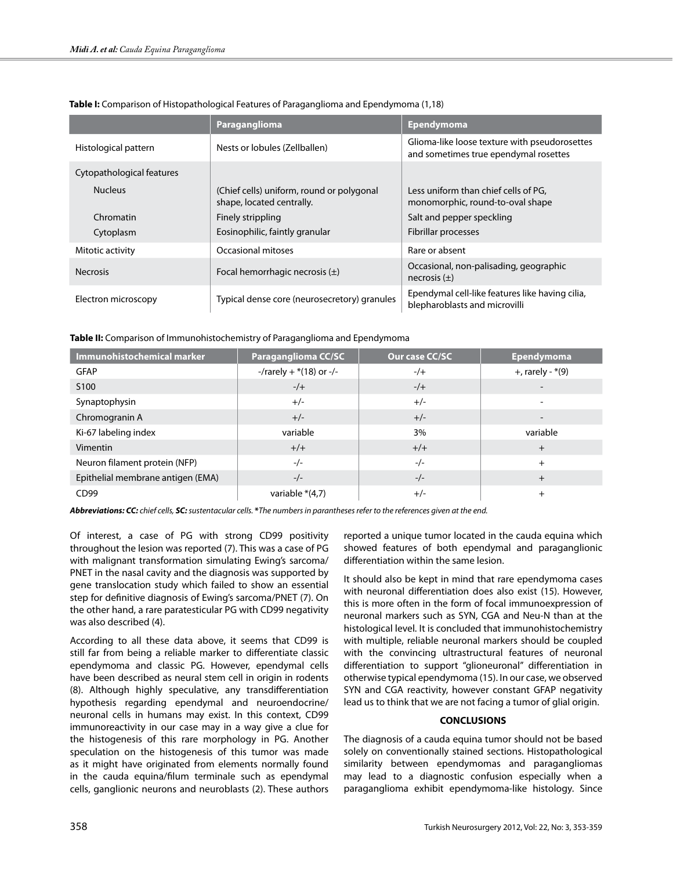|                           | Paraganglioma                                                          | <b>Ependymoma</b>                                                                      |  |
|---------------------------|------------------------------------------------------------------------|----------------------------------------------------------------------------------------|--|
| Histological pattern      | Nests or lobules (Zellballen)                                          | Glioma-like loose texture with pseudorosettes<br>and sometimes true ependymal rosettes |  |
| Cytopathological features |                                                                        |                                                                                        |  |
| <b>Nucleus</b>            | (Chief cells) uniform, round or polygonal<br>shape, located centrally. | Less uniform than chief cells of PG,<br>monomorphic, round-to-oval shape               |  |
| Chromatin                 | Finely strippling                                                      | Salt and pepper speckling                                                              |  |
| Cytoplasm                 | Eosinophilic, faintly granular                                         | Fibrillar processes                                                                    |  |
| Mitotic activity          | Occasional mitoses                                                     | Rare or absent                                                                         |  |
| <b>Necrosis</b>           | Focal hemorrhagic necrosis $(\pm)$                                     | Occasional, non-palisading, geographic<br>necrosis $(\pm)$                             |  |
| Electron microscopy       | Typical dense core (neurosecretory) granules                           | Ependymal cell-like features like having cilia,<br>blepharoblasts and microvilli       |  |

**Table I:** Comparison of Histopathological Features of Paraganglioma and Ependymoma (1,18)

**Table II:** Comparison of Immunohistochemistry of Paraganglioma and Ependymoma

| Immunohistochemical marker        | <b>Paraganglioma CC/SC</b> | Our case CC/SC | <b>Ependymoma</b>     |
|-----------------------------------|----------------------------|----------------|-----------------------|
| <b>GFAP</b>                       | -/rarely + $*(18)$ or -/-  | $-/-$          | $+$ , rarely - $*(9)$ |
| S <sub>100</sub>                  | $-/-$                      | $-/-$          |                       |
| Synaptophysin                     | $+/-$                      | $+/-$          |                       |
| Chromogranin A                    | $+/-$                      | $+/-$          |                       |
| Ki-67 labeling index              | variable                   | 3%             | variable              |
| <b>Vimentin</b>                   | $+/-$                      | $+/-$          | $+$                   |
| Neuron filament protein (NFP)     | $-/-$                      | $-/-$          | $^{+}$                |
| Epithelial membrane antigen (EMA) | $-/-$                      | $-/-$          | $+$                   |
| CD99                              | variable $*(4,7)$          | $+/-$          | $^{+}$                |

*Abbreviations: CC: chief cells, SC: sustentacular cells.* **\****The numbers in parantheses refer to the references given at the end.*

Of interest, a case of PG with strong CD99 positivity throughout the lesion was reported (7). This was a case of PG with malignant transformation simulating Ewing's sarcoma/ PNET in the nasal cavity and the diagnosis was supported by gene translocation study which failed to show an essential step for definitive diagnosis of Ewing's sarcoma/PNET (7). On the other hand, a rare paratesticular PG with CD99 negativity was also described (4).

According to all these data above, it seems that CD99 is still far from being a reliable marker to differentiate classic ependymoma and classic PG. However, ependymal cells have been described as neural stem cell in origin in rodents (8). Although highly speculative, any transdifferentiation hypothesis regarding ependymal and neuroendocrine/ neuronal cells in humans may exist. In this context, CD99 immunoreactivity in our case may in a way give a clue for the histogenesis of this rare morphology in PG. Another speculation on the histogenesis of this tumor was made as it might have originated from elements normally found in the cauda equina/filum terminale such as ependymal cells, ganglionic neurons and neuroblasts (2). These authors reported a unique tumor located in the cauda equina which showed features of both ependymal and paraganglionic differentiation within the same lesion.

It should also be kept in mind that rare ependymoma cases with neuronal differentiation does also exist (15). However, this is more often in the form of focal immunoexpression of neuronal markers such as SYN, CGA and Neu-N than at the histological level. It is concluded that immunohistochemistry with multiple, reliable neuronal markers should be coupled with the convincing ultrastructural features of neuronal differentiation to support "glioneuronal" differentiation in otherwise typical ependymoma (15). In our case, we observed SYN and CGA reactivity, however constant GFAP negativity lead us to think that we are not facing a tumor of glial origin.

## **CONCLUSIONS**

The diagnosis of a cauda equina tumor should not be based solely on conventionally stained sections. Histopathological similarity between ependymomas and paragangliomas may lead to a diagnostic confusion especially when a paraganglioma exhibit ependymoma-like histology. Since